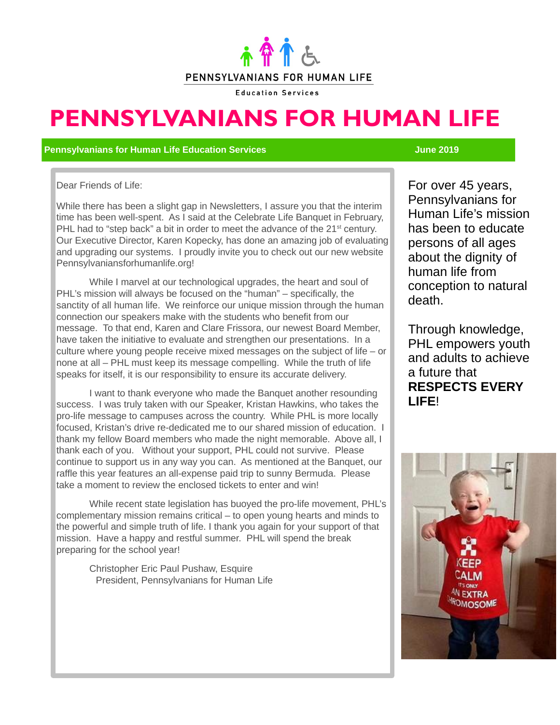

**Education Services** 

# **PENNSYLVANIANS FOR HUMAN LIFE**

### **Pennsylvanians for Human Life Education Services June 2019**

Dear Friends of Life:

While there has been a slight gap in Newsletters, I assure you that the interim time has been well-spent. As I said at the Celebrate Life Banquet in February, PHL had to "step back" a bit in order to meet the advance of the 21<sup>st</sup> century. Our Executive Director, Karen Kopecky, has done an amazing job of evaluating and upgrading our systems. I proudly invite you to check out our new website Pennsylvaniansforhumanlife.org!

While I marvel at our technological upgrades, the heart and soul of PHL's mission will always be focused on the "human" – specifically, the sanctity of all human life. We reinforce our unique mission through the human connection our speakers make with the students who benefit from our message. To that end, Karen and Clare Frissora, our newest Board Member, have taken the initiative to evaluate and strengthen our presentations. In a culture where young people receive mixed messages on the subject of life – or none at all – PHL must keep its message compelling. While the truth of life speaks for itself, it is our responsibility to ensure its accurate delivery.

I want to thank everyone who made the Banquet another resounding success. I was truly taken with our Speaker, Kristan Hawkins, who takes the pro-life message to campuses across the country. While PHL is more locally focused, Kristan's drive re-dedicated me to our shared mission of education. I thank my fellow Board members who made the night memorable. Above all, I thank each of you. Without your support, PHL could not survive. Please continue to support us in any way you can. As mentioned at the Banquet, our raffle this year features an all-expense paid trip to sunny Bermuda. Please take a moment to review the enclosed tickets to enter and win!

While recent state legislation has buoyed the pro-life movement, PHL's complementary mission remains critical – to open young hearts and minds to the powerful and simple truth of life. I thank you again for your support of that mission. Have a happy and restful summer. PHL will spend the break preparing for the school year!

Christopher Eric Paul Pushaw, Esquire President, Pennsylvanians for Human Life For over 45 years, Pennsylvanians for Human Life's mission has been to educate persons of all ages about the dignity of human life from conception to natural death.

Through knowledge, PHL empowers youth and adults to achieve a future that **RESPECTS EVERY LIFE**!

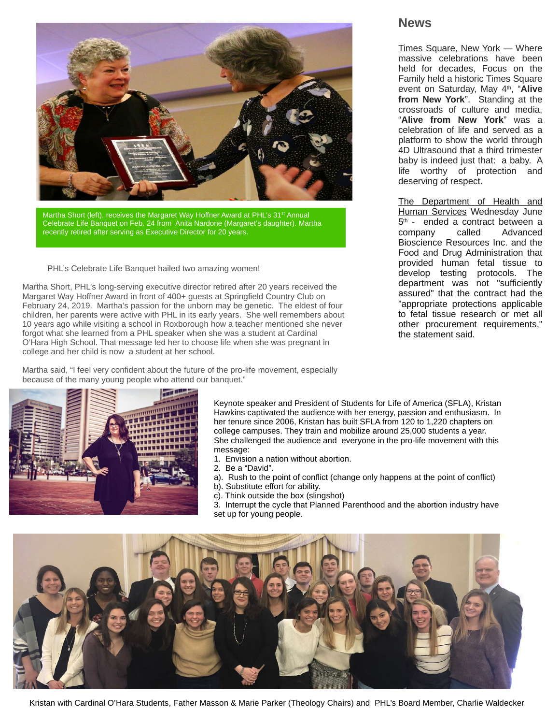

Martha Short (left), receives the Margaret Way Hoffner Award at PHL's 31<sup>st</sup> Annual Celebrate Life Banquet on Feb. 24 from Anita Nardone (Margaret's daughter). Martha recently retired after serving as Executive Director for 20 years.

PHL's Celebrate Life Banquet hailed two amazing women!

Martha Short, PHL's long-serving executive director retired after 20 years received the Margaret Way Hoffner Award in front of 400+ guests at Springfield Country Club on February 24, 2019. Martha's passion for the unborn may be genetic. The eldest of four children, her parents were active with PHL in its early years. She well remembers about 10 years ago while visiting a school in Roxborough how a teacher mentioned she never forgot what she learned from a PHL speaker when she was a student at Cardinal O'Hara High School. That message led her to choose life when she was pregnant in college and her child is now a student at her school.

Martha said, "I feel very confident about the future of the pro-life movement, especially because of the many young people who attend our banquet."



Keynote speaker and President of Students for Life of America (SFLA), Kristan Hawkins captivated the audience with her energy, passion and enthusiasm. In her tenure since 2006, Kristan has built SFLA from 120 to 1,220 chapters on college campuses. They train and mobilize around 25,000 students a year. She challenged the audience and everyone in the pro-life movement with this message:

- 1. Envision a nation without abortion.
- 2. Be a "David".
- a). Rush to the point of conflict (change only happens at the point of conflict)
- b). Substitute effort for ability.
- c). Think outside the box (slingshot)
- 3. Interrupt the cycle that Planned Parenthood and the abortion industry have set up for young people.



### **News**

Times Square, New York — Where massive celebrations have been held for decades, Focus on the Family held a historic Times Square event on Saturday, May 4<sup>th</sup>, "Alive **from New York**". Standing at the crossroads of culture and media, "**Alive from New York**" was a celebration of life and served as a platform to show the world through 4D Ultrasound that a third trimester baby is indeed just that: a baby. A life worthy of protection and deserving of respect.

The Department of Health and Human Services Wednesday June 5 th - ended a contract between a company called Advanced Bioscience Resources Inc. and the Food and Drug Administration that provided human fetal tissue to develop testing protocols. The department was not "sufficiently assured" that the contract had the "appropriate protections applicable to fetal tissue research or met all other procurement requirements," the statement said.

Kristan with Cardinal O'Hara Students, Father Masson & Marie Parker (Theology Chairs) and PHL's Board Member, Charlie Waldecker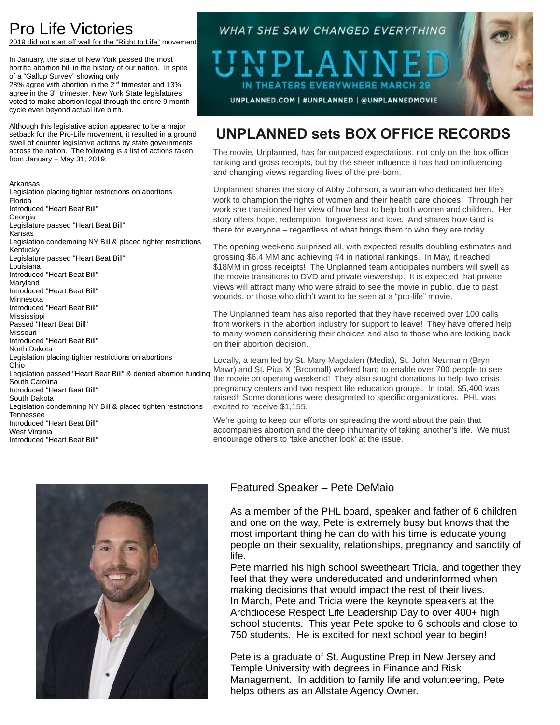## Pro Life Victories

9 did not start off well for the "Right to Life" movement.

In January, the state of New York passed the most horrific abortion bill in the history of our nation. In spite of a "Gallup Survey" showing only

28% agree with abortion in the 2<sup>nd</sup> trimester and 13% agree in the 3rd trimester, New York State legislatures voted to make abortion legal through the entire 9 month cycle even beyond actual live birth.

Although this legislative action appeared to be a major setback for the Pro-Life movement, it resulted in a ground swell of counter legislative actions by state governments across the nation. The following is a list of actions taken from January – May 31, 2019:

Arkansas Legislation placing tighter restrictions on abortions Florida Introduced "Heart Beat Bill" **Georgia** Legislature passed "Heart Beat Bill" Kansas Legislation condemning NY Bill & placed tighter restrictions Kentucky Legislature passed "Heart Beat Bill" Louisiana Introduced "Heart Beat Bill" Maryland Introduced "Heart Beat Bill" Minnesota Introduced "Heart Beat Bill" Mississippi Passed "Heart Beat Bill" Missouri Introduced "Heart Beat Bill" North Dakota Legislation placing tighter restrictions on abortions Ohio Legislation passed "Heart Beat Bill" & denied abortion funding South Carolina Introduced "Heart Beat Bill" South Dakota Legislation condemning NY Bill & placed tighten restrictions Tennessee Introduced "Heart Beat Bill" West Virginia Introduced "Heart Beat Bill"

### **WHAT SHE SAW CHANGED EVERYTHING**

T NT IN THEATERS EVERYWHERE MARCH UNPLANNED.COM | #UNPLANNED | @UNPLANNEDMOVIE



### **UNPLANNED sets BOX OFFICE RECORDS**

The movie, Unplanned, has far outpaced expectations, not only on the box office ranking and gross receipts, but by the sheer influence it has had on influencing and changing views regarding lives of the pre-born.

Unplanned shares the story of Abby Johnson, a woman who dedicated her life's work to champion the rights of women and their health care choices. Through her work she transitioned her view of how best to help both women and children. Her story offers hope, redemption, forgiveness and love. And shares how God is there for everyone – regardless of what brings them to who they are today.

The opening weekend surprised all, with expected results doubling estimates and grossing \$6.4 MM and achieving #4 in national rankings. In May, it reached \$18MM in gross receipts! The Unplanned team anticipates numbers will swell as the movie transitions to DVD and private viewership. It is expected that private views will attract many who were afraid to see the movie in public, due to past wounds, or those who didn't want to be seen at a "pro-life" movie.

The Unplanned team has also reported that they have received over 100 calls from workers in the abortion industry for support to leave! They have offered help to many women considering their choices and also to those who are looking back on their abortion decision.

Locally, a team led by St. Mary Magdalen (Media), St. John Neumann (Bryn Mawr) and St. Pius X (Broomall) worked hard to enable over 700 people to see the movie on opening weekend! They also sought donations to help two crisis pregnancy centers and two respect life education groups. In total, \$5,400 was raised! Some donations were designated to specific organizations. PHL was excited to receive \$1,155.

We're going to keep our efforts on spreading the word about the pain that accompanies abortion and the deep inhumanity of taking another's life. We must encourage others to 'take another look' at the issue.



### Featured Speaker – Pete DeMaio

As a member of the PHL board, speaker and father of 6 children and one on the way, Pete is extremely busy but knows that the most important thing he can do with his time is educate young people on their sexuality, relationships, pregnancy and sanctity of life.

Pete married his high school sweetheart Tricia, and together they feel that they were undereducated and underinformed when making decisions that would impact the rest of their lives. In March, Pete and Tricia were the keynote speakers at the Archdiocese Respect Life Leadership Day to over 400+ high school students. This year Pete spoke to 6 schools and close to 750 students. He is excited for next school year to begin!

Pete is a graduate of St. Augustine Prep in New Jersey and Temple University with degrees in Finance and Risk Management. In addition to family life and volunteering, Pete helps others as an Allstate Agency Owner.